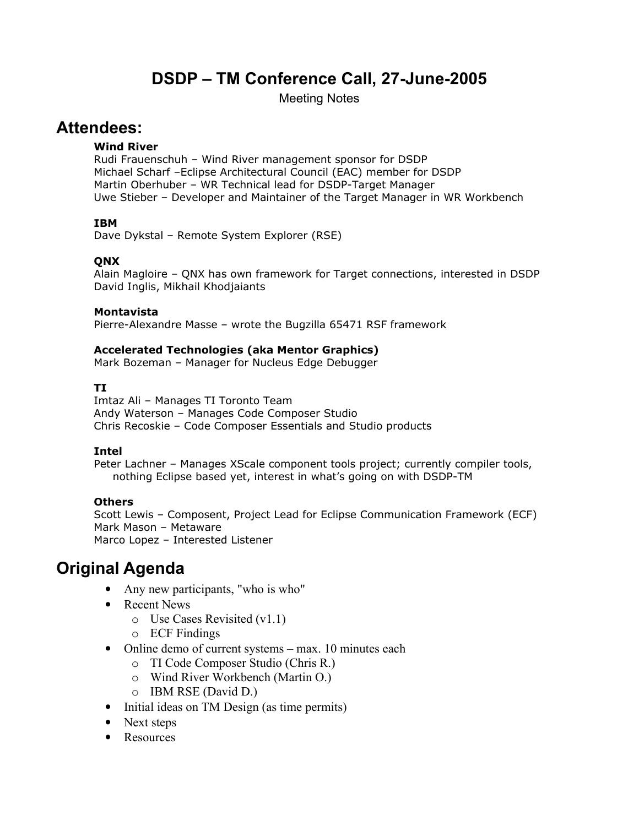# DSDP – TM Conference Call, 27-June-2005

Meeting Notes

# Attendees:

### Wind River

Rudi Frauenschuh – Wind River management sponsor for DSDP Michael Scharf –Eclipse Architectural Council (EAC) member for DSDP Martin Oberhuber – WR Technical lead for DSDP-Target Manager Uwe Stieber – Developer and Maintainer of the Target Manager in WR Workbench

### IBM

Dave Dykstal – Remote System Explorer (RSE)

### QNX

Alain Magloire – QNX has own framework for Target connections, interested in DSDP David Inglis, Mikhail Khodjaiants

#### Montavista

Pierre-Alexandre Masse – wrote the Bugzilla 65471 RSF framework

### Accelerated Technologies (aka Mentor Graphics)

Mark Bozeman – Manager for Nucleus Edge Debugger

### TI

Imtaz Ali – Manages TI Toronto Team Andy Waterson – Manages Code Composer Studio Chris Recoskie – Code Composer Essentials and Studio products

### Intel

Peter Lachner - Manages XScale component tools project; currently compiler tools, nothing Eclipse based yet, interest in what's going on with DSDP-TM

### Others

Scott Lewis – Composent, Project Lead for Eclipse Communication Framework (ECF) Mark Mason – Metaware Marco Lopez – Interested Listener

# Original Agenda

- Any new participants, "who is who"
- Recent News
	- o Use Cases Revisited (v1.1)
	- o ECF Findings
- Online demo of current systems max. 10 minutes each
	- o TI Code Composer Studio (Chris R.)
	- o Wind River Workbench (Martin O.)
	- o IBM RSE (David D.)
- Initial ideas on TM Design (as time permits)
- Next steps
- Resources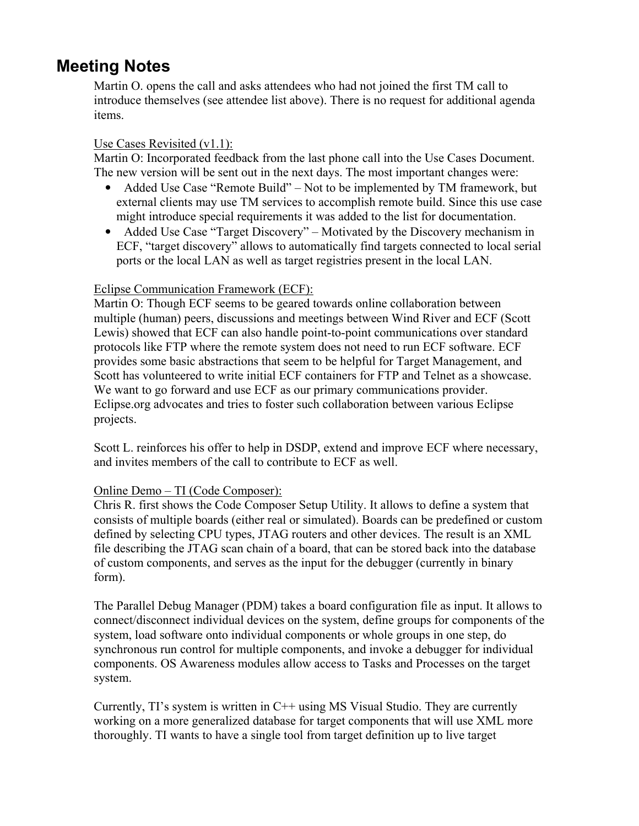# Meeting Notes

Martin O. opens the call and asks attendees who had not joined the first TM call to introduce themselves (see attendee list above). There is no request for additional agenda items.

### Use Cases Revisited (v1.1):

Martin O: Incorporated feedback from the last phone call into the Use Cases Document. The new version will be sent out in the next days. The most important changes were:

- Added Use Case "Remote Build" Not to be implemented by TM framework, but external clients may use TM services to accomplish remote build. Since this use case might introduce special requirements it was added to the list for documentation.
- Added Use Case "Target Discovery" Motivated by the Discovery mechanism in ECF, "target discovery" allows to automatically find targets connected to local serial ports or the local LAN as well as target registries present in the local LAN.

## Eclipse Communication Framework (ECF):

Martin O: Though ECF seems to be geared towards online collaboration between multiple (human) peers, discussions and meetings between Wind River and ECF (Scott Lewis) showed that ECF can also handle point-to-point communications over standard protocols like FTP where the remote system does not need to run ECF software. ECF provides some basic abstractions that seem to be helpful for Target Management, and Scott has volunteered to write initial ECF containers for FTP and Telnet as a showcase. We want to go forward and use ECF as our primary communications provider. Eclipse.org advocates and tries to foster such collaboration between various Eclipse projects.

Scott L. reinforces his offer to help in DSDP, extend and improve ECF where necessary, and invites members of the call to contribute to ECF as well.

### Online Demo – TI (Code Composer):

Chris R. first shows the Code Composer Setup Utility. It allows to define a system that consists of multiple boards (either real or simulated). Boards can be predefined or custom defined by selecting CPU types, JTAG routers and other devices. The result is an XML file describing the JTAG scan chain of a board, that can be stored back into the database of custom components, and serves as the input for the debugger (currently in binary form).

The Parallel Debug Manager (PDM) takes a board configuration file as input. It allows to connect/disconnect individual devices on the system, define groups for components of the system, load software onto individual components or whole groups in one step, do synchronous run control for multiple components, and invoke a debugger for individual components. OS Awareness modules allow access to Tasks and Processes on the target system.

Currently,  $TI$ 's system is written in  $C++$  using MS Visual Studio. They are currently working on a more generalized database for target components that will use XML more thoroughly. TI wants to have a single tool from target definition up to live target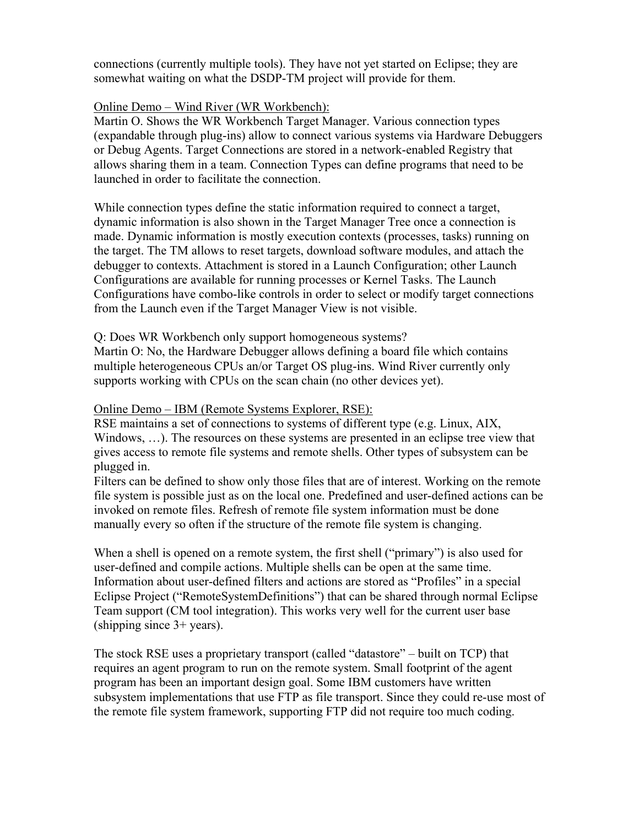connections (currently multiple tools). They have not yet started on Eclipse; they are somewhat waiting on what the DSDP-TM project will provide for them.

### Online Demo – Wind River (WR Workbench):

Martin O. Shows the WR Workbench Target Manager. Various connection types (expandable through plug-ins) allow to connect various systems via Hardware Debuggers or Debug Agents. Target Connections are stored in a network-enabled Registry that allows sharing them in a team. Connection Types can define programs that need to be launched in order to facilitate the connection.

While connection types define the static information required to connect a target, dynamic information is also shown in the Target Manager Tree once a connection is made. Dynamic information is mostly execution contexts (processes, tasks) running on the target. The TM allows to reset targets, download software modules, and attach the debugger to contexts. Attachment is stored in a Launch Configuration; other Launch Configurations are available for running processes or Kernel Tasks. The Launch Configurations have combo-like controls in order to select or modify target connections from the Launch even if the Target Manager View is not visible.

Q: Does WR Workbench only support homogeneous systems?

Martin O: No, the Hardware Debugger allows defining a board file which contains multiple heterogeneous CPUs an/or Target OS plug-ins. Wind River currently only supports working with CPUs on the scan chain (no other devices yet).

### Online Demo – IBM (Remote Systems Explorer, RSE):

RSE maintains a set of connections to systems of different type (e.g. Linux, AIX, Windows, …). The resources on these systems are presented in an eclipse tree view that gives access to remote file systems and remote shells. Other types of subsystem can be plugged in.

Filters can be defined to show only those files that are of interest. Working on the remote file system is possible just as on the local one. Predefined and user-defined actions can be invoked on remote files. Refresh of remote file system information must be done manually every so often if the structure of the remote file system is changing.

When a shell is opened on a remote system, the first shell ("primary") is also used for user-defined and compile actions. Multiple shells can be open at the same time. Information about user-defined filters and actions are stored as "Profiles" in a special Eclipse Project ("RemoteSystemDefinitions") that can be shared through normal Eclipse Team support (CM tool integration). This works very well for the current user base (shipping since 3+ years).

The stock RSE uses a proprietary transport (called "datastore" – built on TCP) that requires an agent program to run on the remote system. Small footprint of the agent program has been an important design goal. Some IBM customers have written subsystem implementations that use FTP as file transport. Since they could re-use most of the remote file system framework, supporting FTP did not require too much coding.